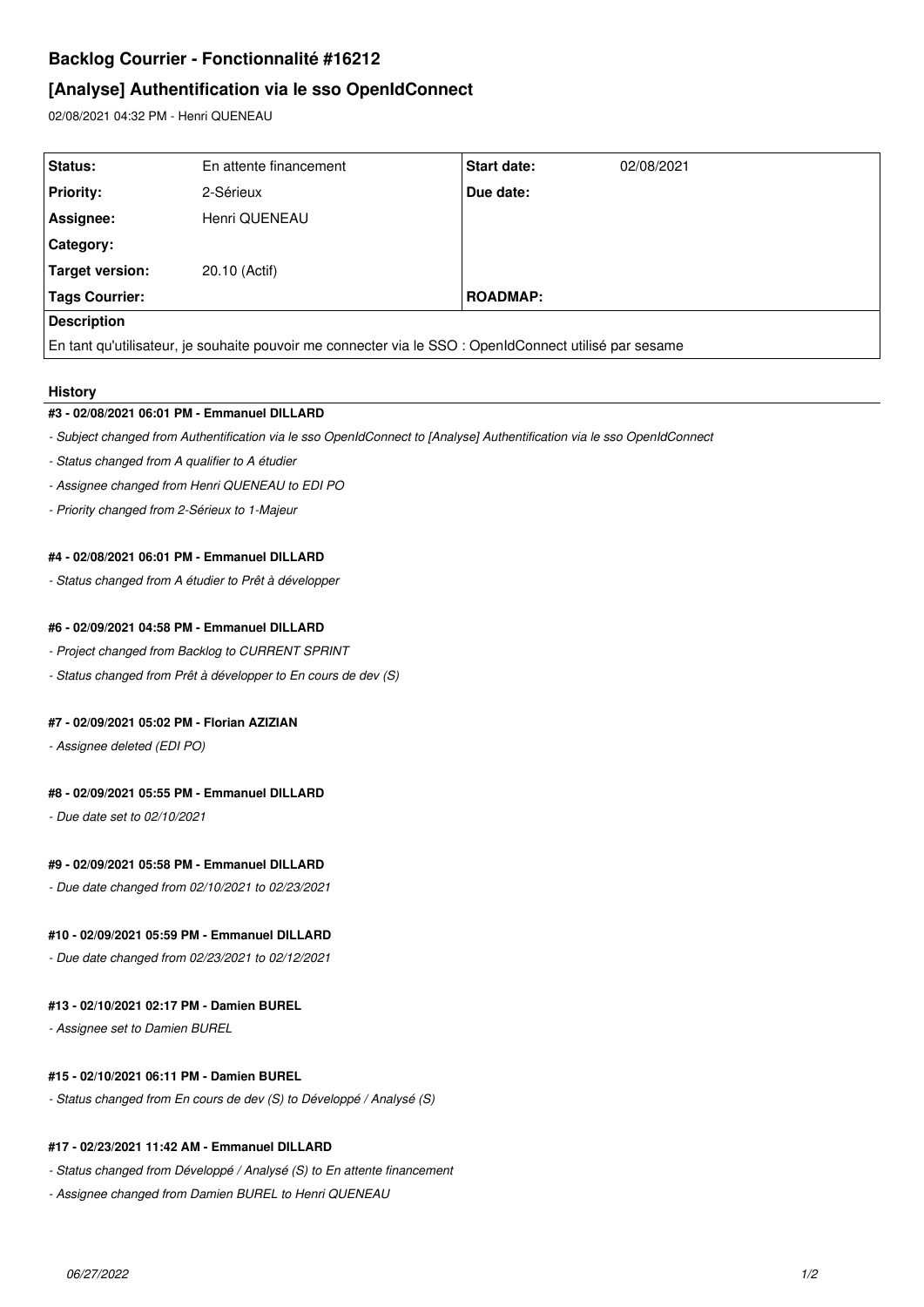# **Backlog Courrier - Fonctionnalité #16212**

## **[Analyse] Authentification via le sso OpenIdConnect**

02/08/2021 04:32 PM - Henri QUENEAU

| Status:                                                                                                | En attente financement | Start date:     | 02/08/2021 |
|--------------------------------------------------------------------------------------------------------|------------------------|-----------------|------------|
| <b>Priority:</b>                                                                                       | 2-Sérieux              | Due date:       |            |
| Assignee:                                                                                              | Henri QUENEAU          |                 |            |
| Category:                                                                                              |                        |                 |            |
| Target version:                                                                                        | 20.10 (Actif)          |                 |            |
| Tags Courrier:                                                                                         |                        | <b>ROADMAP:</b> |            |
| <b>Description</b>                                                                                     |                        |                 |            |
| En tant qu'utilisateur, je souhaite pouvoir me connecter via le SSO : OpenIdConnect utilisé par sesame |                        |                 |            |

#### **History**

#### **#3 - 02/08/2021 06:01 PM - Emmanuel DILLARD**

- *Subject changed from Authentification via le sso OpenIdConnect to [Analyse] Authentification via le sso OpenIdConnect*
- *Status changed from A qualifier to A étudier*
- *Assignee changed from Henri QUENEAU to EDI PO*
- *Priority changed from 2-Sérieux to 1-Majeur*

#### **#4 - 02/08/2021 06:01 PM - Emmanuel DILLARD**

*- Status changed from A étudier to Prêt à développer*

#### **#6 - 02/09/2021 04:58 PM - Emmanuel DILLARD**

- *Project changed from Backlog to CURRENT SPRINT*
- *Status changed from Prêt à développer to En cours de dev (S)*

#### **#7 - 02/09/2021 05:02 PM - Florian AZIZIAN**

*- Assignee deleted (EDI PO)*

### **#8 - 02/09/2021 05:55 PM - Emmanuel DILLARD**

*- Due date set to 02/10/2021*

#### **#9 - 02/09/2021 05:58 PM - Emmanuel DILLARD**

*- Due date changed from 02/10/2021 to 02/23/2021*

#### **#10 - 02/09/2021 05:59 PM - Emmanuel DILLARD**

*- Due date changed from 02/23/2021 to 02/12/2021*

### **#13 - 02/10/2021 02:17 PM - Damien BUREL**

*- Assignee set to Damien BUREL*

#### **#15 - 02/10/2021 06:11 PM - Damien BUREL**

*- Status changed from En cours de dev (S) to Développé / Analysé (S)*

#### **#17 - 02/23/2021 11:42 AM - Emmanuel DILLARD**

- *Status changed from Développé / Analysé (S) to En attente financement*
- *Assignee changed from Damien BUREL to Henri QUENEAU*